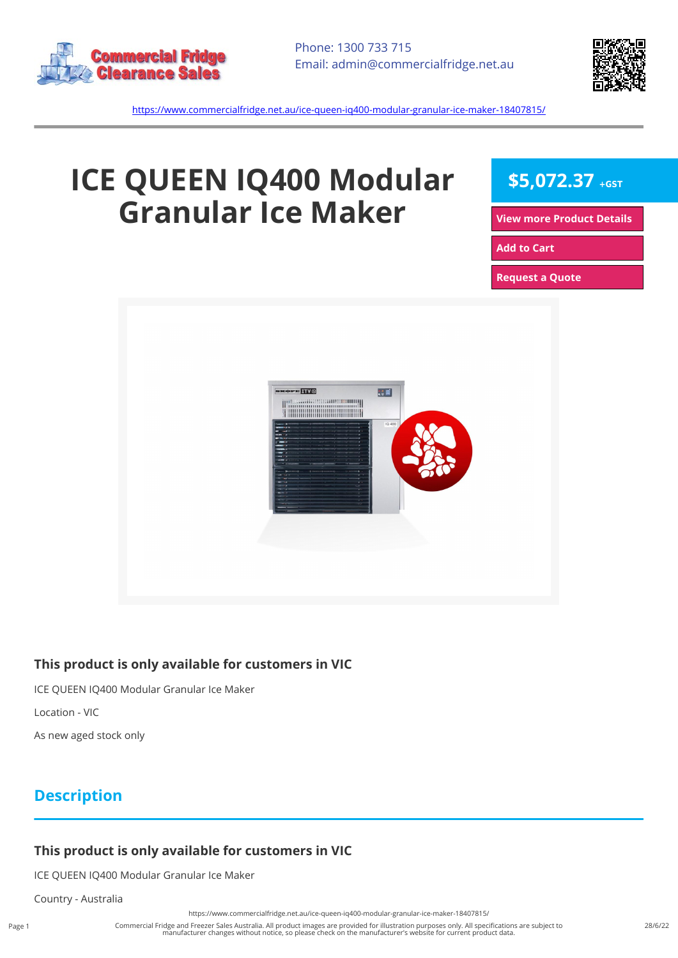



<https://www.commercialfridge.net.au/ice-queen-iq400-modular-granular-ice-maker-18407815/>

# **ICE QUEEN IQ400 Modular Granular Ice Maker**

**\$5,072.37 +GST**

**[View more Product Details](https://www.commercialfridge.net.au/ice-queen-iq400-modular-granular-ice-maker-18407815/)**

**[Add to Cart](https://www.commercialfridge.net.au/ice-queen-iq400-modular-granular-ice-maker-18407815/?addtocart=1)** 

**[Request a Quote](https://www.commercialfridge.net.au/ice-queen-iq400-modular-granular-ice-maker-18407815/?requestaquote=1)** 



#### **This product is only available for customers in VIC**

ICE QUEEN IQ400 Modular Granular Ice Maker

Location - VIC

As new aged stock only

### **Description**

#### **This product is only available for customers in VIC**

ICE QUEEN IQ400 Modular Granular Ice Maker

Country - Australia

<https://www.commercialfridge.net.au/ice-queen-iq400-modular-granular-ice-maker-18407815/>

Commercial Fridge and Freezer Sales Australia. All product images are provided for illustration purposes only. All specifications are subject to manufacturer changes without notice, so please check on the manufacturer's website for current product data.